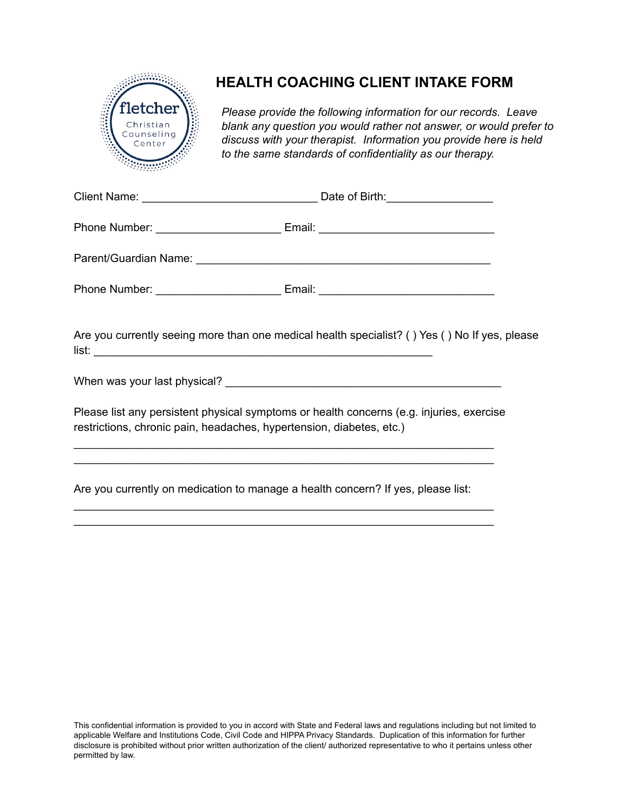

## **HEALTH COACHING CLIENT INTAKE FORM**

*Please provide the following information for our records. Leave blank any question you would rather not answer, or would prefer to discuss with your therapist. Information you provide here is held to the same standards of confidentiality as our therapy.*

| Are you currently seeing more than one medical health specialist? () Yes () No If yes, please                                                                                                                                                         |  |
|-------------------------------------------------------------------------------------------------------------------------------------------------------------------------------------------------------------------------------------------------------|--|
|                                                                                                                                                                                                                                                       |  |
| Please list any persistent physical symptoms or health concerns (e.g. injuries, exercise<br>restrictions, chronic pain, headaches, hypertension, diabetes, etc.)<br>,我们也不能在这里的人,我们也不能在这里的人,我们也不能在这里的人,我们也不能在这里的人,我们也不能在这里的人,我们也不能在这里的人,我们也不能在这里的人,我们也 |  |
| Are you currently on medication to manage a health concern? If yes, please list:                                                                                                                                                                      |  |

\_\_\_\_\_\_\_\_\_\_\_\_\_\_\_\_\_\_\_\_\_\_\_\_\_\_\_\_\_\_\_\_\_\_\_\_\_\_\_\_\_\_\_\_\_\_\_\_\_\_\_\_\_\_\_\_\_\_\_\_\_\_\_\_\_\_\_ \_\_\_\_\_\_\_\_\_\_\_\_\_\_\_\_\_\_\_\_\_\_\_\_\_\_\_\_\_\_\_\_\_\_\_\_\_\_\_\_\_\_\_\_\_\_\_\_\_\_\_\_\_\_\_\_\_\_\_\_\_\_\_\_\_\_\_

This confidential information is provided to you in accord with State and Federal laws and regulations including but not limited to applicable Welfare and Institutions Code, Civil Code and HIPPA Privacy Standards. Duplication of this information for further disclosure is prohibited without prior written authorization of the client/ authorized representative to who it pertains unless other permitted by law.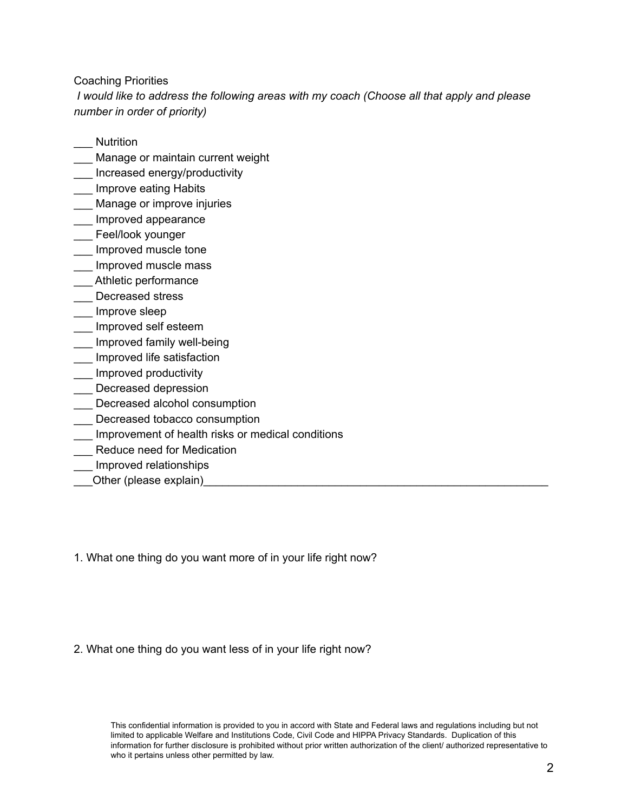Coaching Priorities

*I would like to address the following areas with my coach (Choose all that apply and please number in order of priority)*

- \_\_\_ Nutrition
- \_\_\_ Manage or maintain current weight
- \_\_\_ Increased energy/productivity
- **\_\_\_** Improve eating Habits
- Manage or improve injuries
- \_\_\_ Improved appearance
- \_\_\_ Feel/look younger
- \_\_\_ Improved muscle tone
- \_\_\_ Improved muscle mass
- \_\_\_ Athletic performance
- \_\_\_ Decreased stress
- \_\_\_ Improve sleep
- \_\_\_ Improved self esteem
- Improved family well-being
- \_\_\_ Improved life satisfaction
- \_\_\_ Improved productivity
- \_\_\_ Decreased depression
- \_\_\_ Decreased alcohol consumption
- **LET** Decreased tobacco consumption
- \_\_\_ Improvement of health risks or medical conditions
- \_\_\_ Reduce need for Medication
- \_\_\_ Improved relationships
- \_\_\_Other (please explain)\_\_\_\_\_\_\_\_\_\_\_\_\_\_\_\_\_\_\_\_\_\_\_\_\_\_\_\_\_\_\_\_\_\_\_\_\_\_\_\_\_\_\_\_\_\_\_\_\_\_\_\_\_\_\_

1. What one thing do you want more of in your life right now?

## 2. What one thing do you want less of in your life right now?